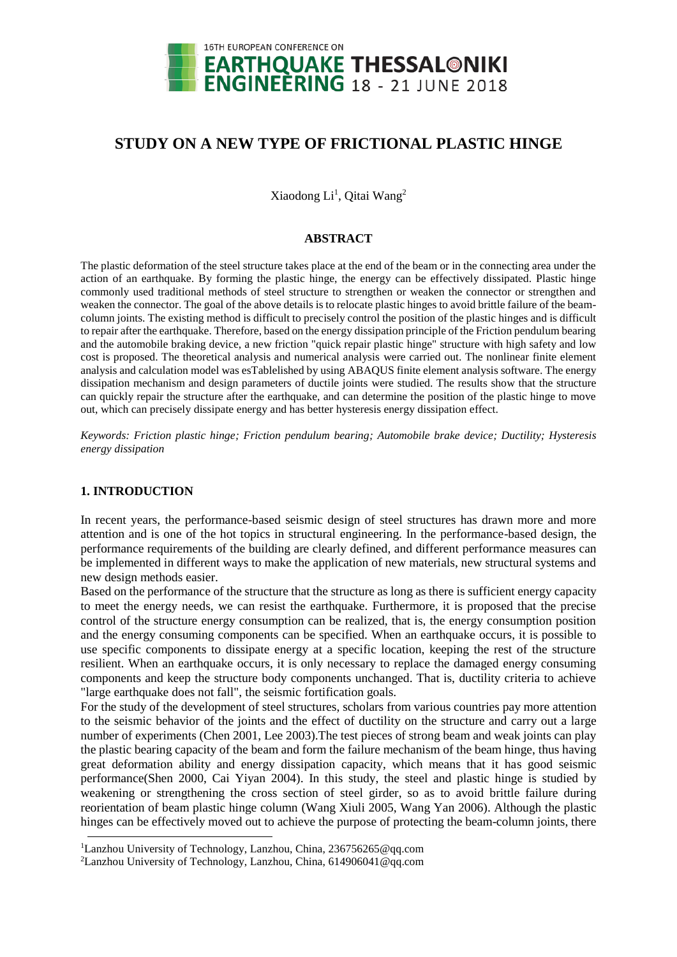

# **STUDY ON A NEW TYPE OF FRICTIONAL PLASTIC HINGE**

Xiaodong Li<sup>1</sup>, Qitai Wang<sup>2</sup>

## **ABSTRACT**

The plastic deformation of the steel structure takes place at the end of the beam or in the connecting area under the action of an earthquake. By forming the plastic hinge, the energy can be effectively dissipated. Plastic hinge commonly used traditional methods of steel structure to strengthen or weaken the connector or strengthen and weaken the connector. The goal of the above details is to relocate plastic hinges to avoid brittle failure of the beamcolumn joints. The existing method is difficult to precisely control the position of the plastic hinges and is difficult to repair after the earthquake. Therefore, based on the energy dissipation principle of the Friction pendulum bearing and the automobile braking device, a new friction "quick repair plastic hinge" structure with high safety and low cost is proposed. The theoretical analysis and numerical analysis were carried out. The nonlinear finite element analysis and calculation model was esTablelished by using ABAQUS finite element analysis software. The energy dissipation mechanism and design parameters of ductile joints were studied. The results show that the structure can quickly repair the structure after the earthquake, and can determine the position of the plastic hinge to move out, which can precisely dissipate energy and has better hysteresis energy dissipation effect.

*Keywords: Friction plastic hinge; Friction pendulum bearing; Automobile brake device; Ductility; Hysteresis energy dissipation*

# **1. INTRODUCTION**

In recent years, the performance-based seismic design of steel structures has drawn more and more attention and is one of the hot topics in structural engineering. In the performance-based design, the performance requirements of the building are clearly defined, and different performance measures can be implemented in different ways to make the application of new materials, new structural systems and new design methods easier.

Based on the performance of the structure that the structure as long as there is sufficient energy capacity to meet the energy needs, we can resist the earthquake. Furthermore, it is proposed that the precise control of the structure energy consumption can be realized, that is, the energy consumption position and the energy consuming components can be specified. When an earthquake occurs, it is possible to use specific components to dissipate energy at a specific location, keeping the rest of the structure resilient. When an earthquake occurs, it is only necessary to replace the damaged energy consuming components and keep the structure body components unchanged. That is, ductility criteria to achieve "large earthquake does not fall", the seismic fortification goals.

For the study of the development of steel structures, scholars from various countries pay more attention to the seismic behavior of the joints and the effect of ductility on the structure and carry out a large number of experiments (Chen 2001, Lee 2003).The test pieces of strong beam and weak joints can play the plastic bearing capacity of the beam and form the failure mechanism of the beam hinge, thus having great deformation ability and energy dissipation capacity, which means that it has good seismic performance(Shen 2000, Cai Yiyan 2004). In this study, the steel and plastic hinge is studied by weakening or strengthening the cross section of steel girder, so as to avoid brittle failure during reorientation of beam plastic hinge column (Wang Xiuli 2005, Wang Yan 2006). Although the plastic hinges can be effectively moved out to achieve the purpose of protecting the beam-column joints, there

<sup>&</sup>lt;sup>1</sup>Lanzhou University of Technology, Lanzhou, China, 236756265@qq.com

<sup>2</sup>Lanzhou University of Technology, Lanzhou, China, 614906041@qq.com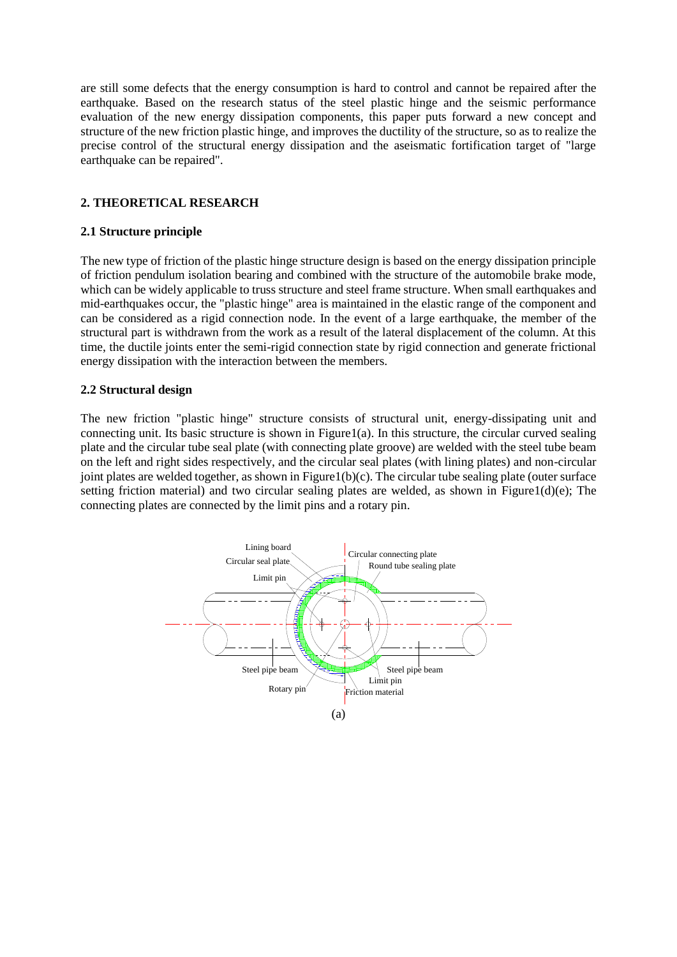are still some defects that the energy consumption is hard to control and cannot be repaired after the earthquake. Based on the research status of the steel plastic hinge and the seismic performance evaluation of the new energy dissipation components, this paper puts forward a new concept and structure of the new friction plastic hinge, and improves the ductility of the structure, so as to realize the precise control of the structural energy dissipation and the aseismatic fortification target of "large earthquake can be repaired".

# **2. THEORETICAL RESEARCH**

## **2.1 Structure principle**

The new type of friction of the plastic hinge structure design is based on the energy dissipation principle of friction pendulum isolation bearing and combined with the structure of the automobile brake mode, which can be widely applicable to truss structure and steel frame structure. When small earthquakes and mid-earthquakes occur, the "plastic hinge" area is maintained in the elastic range of the component and can be considered as a rigid connection node. In the event of a large earthquake, the member of the structural part is withdrawn from the work as a result of the lateral displacement of the column. At this time, the ductile joints enter the semi-rigid connection state by rigid connection and generate frictional energy dissipation with the interaction between the members.

## **2.2 Structural design**

The new friction "plastic hinge" structure consists of structural unit, energy-dissipating unit and connecting unit. Its basic structure is shown in Figure  $1(a)$ . In this structure, the circular curved sealing plate and the circular tube seal plate (with connecting plate groove) are welded with the steel tube beam on the left and right sides respectively, and the circular seal plates (with lining plates) and non-circular joint plates are welded together, as shown in Figure1(b)(c). The circular tube sealing plate (outer surface setting friction material) and two circular sealing plates are welded, as shown in Figure1(d)(e); The connecting plates are connected by the limit pins and a rotary pin.

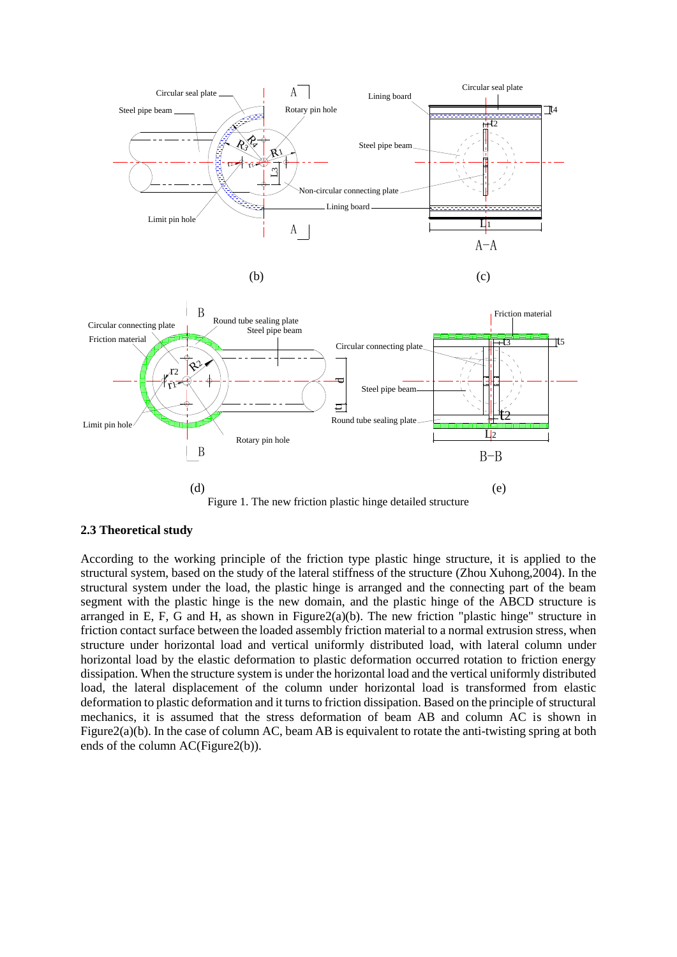

Figure 1. The new friction plastic hinge detailed structure

## **2.3 Theoretical study**

According to the working principle of the friction type plastic hinge structure, it is applied to the structural system, based on the study of the lateral stiffness of the structure (Zhou Xuhong,2004). In the structural system under the load, the plastic hinge is arranged and the connecting part of the beam segment with the plastic hinge is the new domain, and the plastic hinge of the ABCD structure is arranged in E, F, G and H, as shown in Figure  $2(a)(b)$ . The new friction "plastic hinge" structure in friction contact surface between the loaded assembly friction material to a normal extrusion stress, when structure under horizontal load and vertical uniformly distributed load, with lateral column under horizontal load by the elastic deformation to plastic deformation occurred rotation to friction energy dissipation. When the structure system is under the horizontal load and the vertical uniformly distributed load, the lateral displacement of the column under horizontal load is transformed from elastic deformation to plastic deformation and it turns to friction dissipation. Based on the principle of structural mechanics, it is assumed that the stress deformation of beam AB and column AC is shown in Figure2(a)(b). In the case of column AC, beam AB is equivalent to rotate the anti-twisting spring at both ends of the column AC(Figure2(b)).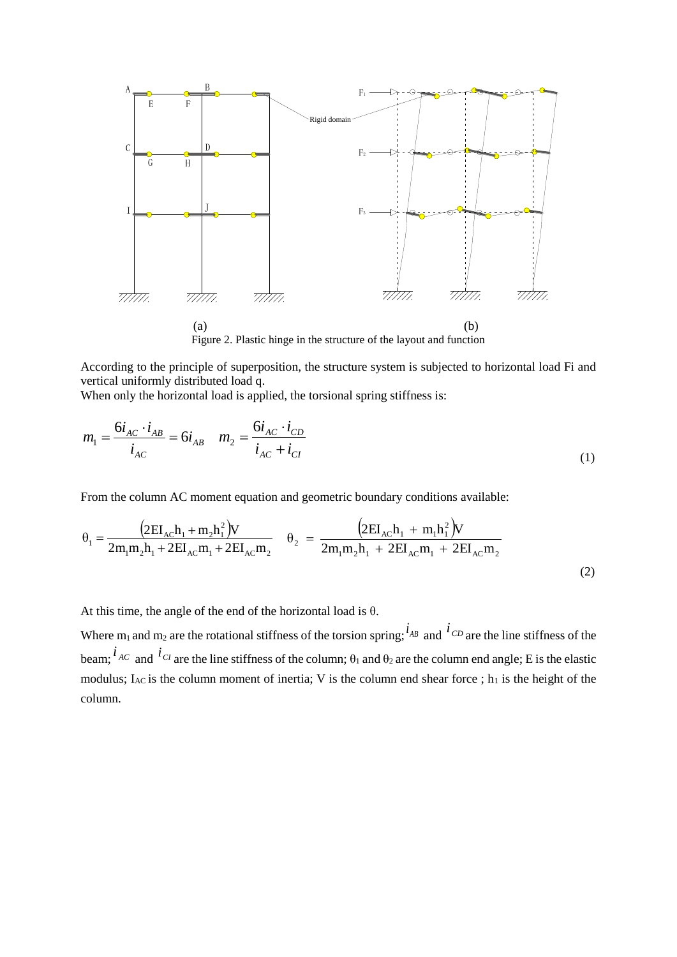

Figure 2. Plastic hinge in the structure of the layout and function

According to the principle of superposition, the structure system is subjected to horizontal load Fi and vertical uniformly distributed load q.

When only the horizontal load is applied, the torsional spring stiffness is:

$$
m_1 = \frac{6i_{AC} \cdot i_{AB}}{i_{AC}} = 6i_{AB} \quad m_2 = \frac{6i_{AC} \cdot i_{CD}}{i_{AC} + i_{CI}}
$$
(1)

From the column AC moment equation and geometric boundary conditions available:

$$
\theta_{1} = \frac{(2EI_{AC}h_{1} + m_{2}h_{1}^{2})V}{2m_{1}m_{2}h_{1} + 2EI_{AC}m_{1} + 2EI_{AC}m_{2}} \quad \theta_{2} = \frac{(2EI_{AC}h_{1} + m_{1}h_{1}^{2})V}{2m_{1}m_{2}h_{1} + 2EI_{AC}m_{1} + 2EI_{AC}m_{2}}
$$
\n(2)

At this time, the angle of the end of the horizontal load is  $\theta$ .

Where m<sub>1</sub> and m<sub>2</sub> are the rotational stiffness of the torsion spring;  $i_{AB}$  and  $i_{CD}$  are the line stiffness of the beam;  $\hat{i}_{AC}$  and  $\hat{i}_{CI}$  are the line stiffness of the column;  $\theta_1$  and  $\theta_2$  are the column end angle; E is the elastic modulus;  $I_{AC}$  is the column moment of inertia; V is the column end shear force; h<sub>1</sub> is the height of the column.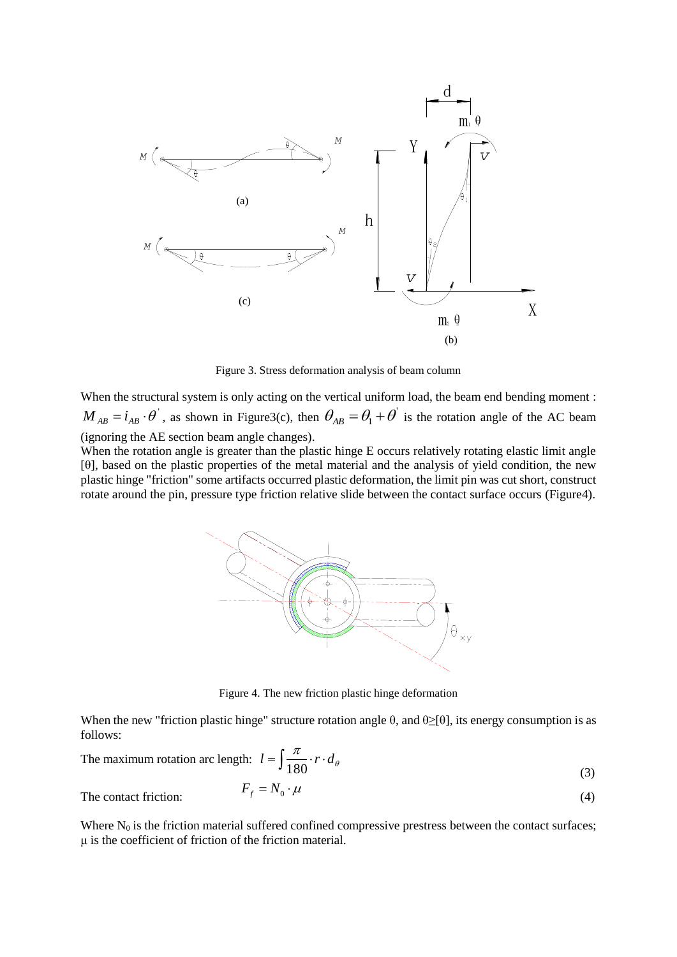

Figure 3. Stress deformation analysis of beam column

When the structural system is only acting on the vertical uniform load, the beam end bending moment :  $M_{AB} = i_{AB} \cdot \theta$ , as shown in Figure3(c), then  $\theta_{AB} = \theta_1 + \theta$  is the rotation angle of the AC beam (ignoring the AE section beam angle changes).

When the rotation angle is greater than the plastic hinge E occurs relatively rotating elastic limit angle [θ], based on the plastic properties of the metal material and the analysis of yield condition, the new plastic hinge "friction" some artifacts occurred plastic deformation, the limit pin was cut short, construct rotate around the pin, pressure type friction relative slide between the contact surface occurs (Figure4).



Figure 4. The new friction plastic hinge deformation

When the new "friction plastic hinge" structure rotation angle  $\theta$ , and  $\theta \geq [\theta]$ , its energy consumption is as follows:

The maximum rotation arc length: 
$$
l = \int \frac{\pi}{180} \cdot r \cdot d_{\theta}
$$
 (3)

$$
F_f = N_0 \cdot \mu \tag{4}
$$

The contact friction:

Where  $N_0$  is the friction material suffered confined compressive prestress between the contact surfaces; μ is the coefficient of friction of the friction material.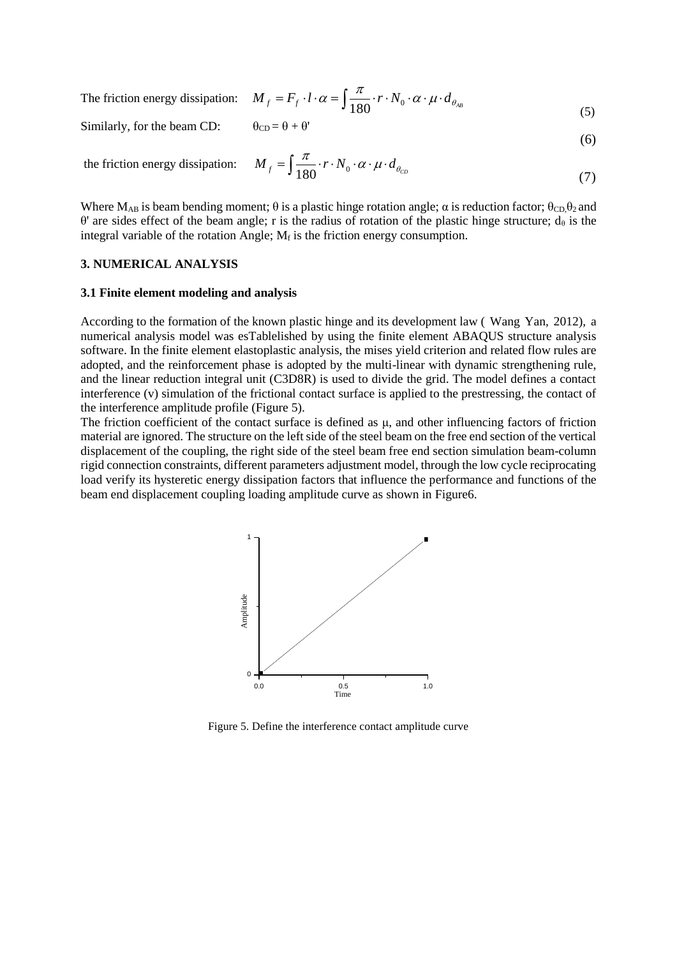The friction energy dissipation: 
$$
M_f = F_f \cdot l \cdot \alpha = \int \frac{\pi}{180} \cdot r \cdot N_0 \cdot \alpha \cdot \mu \cdot d_{\theta_{AB}}
$$
 (5)

Similarly, for the beam CD:  $\theta_{CD} = \theta + \theta'$ 

$$
c_D = \theta + \theta'
$$

(6)

the friction energy dissipation: 
$$
M_f = \int \frac{\pi}{180} \cdot r \cdot N_0 \cdot \alpha \cdot \mu \cdot d_{\theta_{CD}}
$$
 (7)

Where  $M_{AB}$  is beam bending moment;  $\theta$  is a plastic hinge rotation angle;  $\alpha$  is reduction factor;  $\theta_{CD} \theta_2$  and θ' are sides effect of the beam angle; r is the radius of rotation of the plastic hinge structure;  $d_\theta$  is the integral variable of the rotation Angle;  $M_f$  is the friction energy consumption.

#### **3. NUMERICAL ANALYSIS**

#### **3.1 Finite element modeling and analysis**

According to the formation of the known plastic hinge and its development law ( Wang Yan, 2012), a numerical analysis model was esTablelished by using the finite element ABAQUS structure analysis software. In the finite element elastoplastic analysis, the mises yield criterion and related flow rules are adopted, and the reinforcement phase is adopted by the multi-linear with dynamic strengthening rule, and the linear reduction integral unit (C3D8R) is used to divide the grid. The model defines a contact interference (v) simulation of the frictional contact surface is applied to the prestressing, the contact of the interference amplitude profile (Figure 5).

The friction coefficient of the contact surface is defined as  $\mu$ , and other influencing factors of friction material are ignored. The structure on the left side of the steel beam on the free end section of the vertical displacement of the coupling, the right side of the steel beam free end section simulation beam-column rigid connection constraints, different parameters adjustment model, through the low cycle reciprocating load verify its hysteretic energy dissipation factors that influence the performance and functions of the beam end displacement coupling loading amplitude curve as shown in Figure6.



Figure 5. Define the interference contact amplitude curve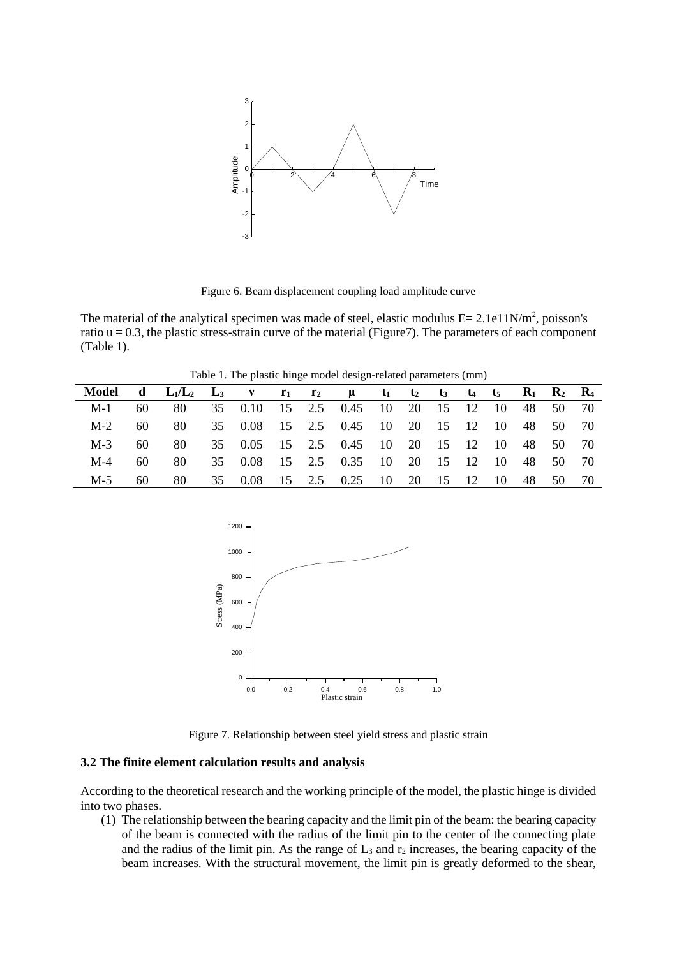

Figure 6. Beam displacement coupling load amplitude curve

The material of the analytical specimen was made of steel, elastic modulus  $E = 2.1e11N/m^2$ , poisson's ratio  $u = 0.3$ , the plastic stress-strain curve of the material (Figure7). The parameters of each component (Table 1).

Table 1. The plastic hinge model design-related parameters (mm)

| Model d $L_1/L_2$ $L_3$ v $r_1$ $r_2$ $\mu$ $t_1$ $t_2$ $t_3$ $t_4$ $t_5$ $R_1$ $R_2$ $R_4$ |     |      |  |  |  |                                                                                       |  |  |  |  |  |       |
|---------------------------------------------------------------------------------------------|-----|------|--|--|--|---------------------------------------------------------------------------------------|--|--|--|--|--|-------|
| $M-1$                                                                                       | 60  |      |  |  |  | 80    35    0.10    15    2.5    0.45    10    20    15    12    10    48    50    70 |  |  |  |  |  |       |
| $M-2$                                                                                       | 60. |      |  |  |  | 80    35    0.08    15    2.5    0.45    10    20    15    12    10    48    50    70 |  |  |  |  |  |       |
| $M-3$                                                                                       | 60  | 80   |  |  |  | 35 0.05 15 2.5 0.45 10 20 15 12 10 48 50 70                                           |  |  |  |  |  |       |
| $M-4$                                                                                       | 60. | 80 - |  |  |  | 35 0.08 15 2.5 0.35 10 20 15 12 10 48 50 70                                           |  |  |  |  |  |       |
| $M-5$                                                                                       | 60. | 80   |  |  |  | 35 0.08 15 2.5 0.25 10 20 15 12 10 48                                                 |  |  |  |  |  | 50 70 |



Figure 7. Relationship between steel yield stress and plastic strain

#### **3.2 The finite element calculation results and analysis**

According to the theoretical research and the working principle of the model, the plastic hinge is divided into two phases.

(1) The relationship between the bearing capacity and the limit pin of the beam: the bearing capacity of the beam is connected with the radius of the limit pin to the center of the connecting plate and the radius of the limit pin. As the range of  $L_3$  and  $r_2$  increases, the bearing capacity of the beam increases. With the structural movement, the limit pin is greatly deformed to the shear,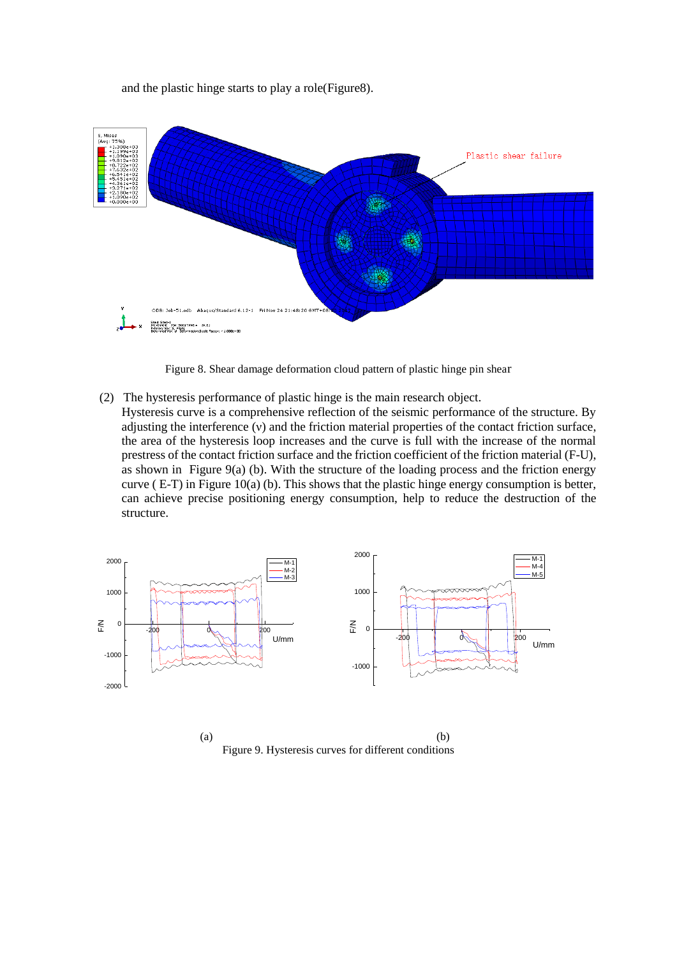and the plastic hinge starts to play a role(Figure8).



Figure 8. Shear damage deformation cloud pattern of plastic hinge pin shear

- (2) The hysteresis performance of plastic hinge is the main research object.
- Hysteresis curve is a comprehensive reflection of the seismic performance of the structure. By adjusting the interference (ν) and the friction material properties of the contact friction surface, the area of the hysteresis loop increases and the curve is full with the increase of the normal prestress of the contact friction surface and the friction coefficient of the friction material (F-U), as shown in Figure 9(a) (b). With the structure of the loading process and the friction energy curve  $(E-T)$  in Figure 10(a) (b). This shows that the plastic hinge energy consumption is better, can achieve precise positioning energy consumption, help to reduce the destruction of the structure.



 $(a)$  (b) Figure 9. Hysteresis curves for different conditions